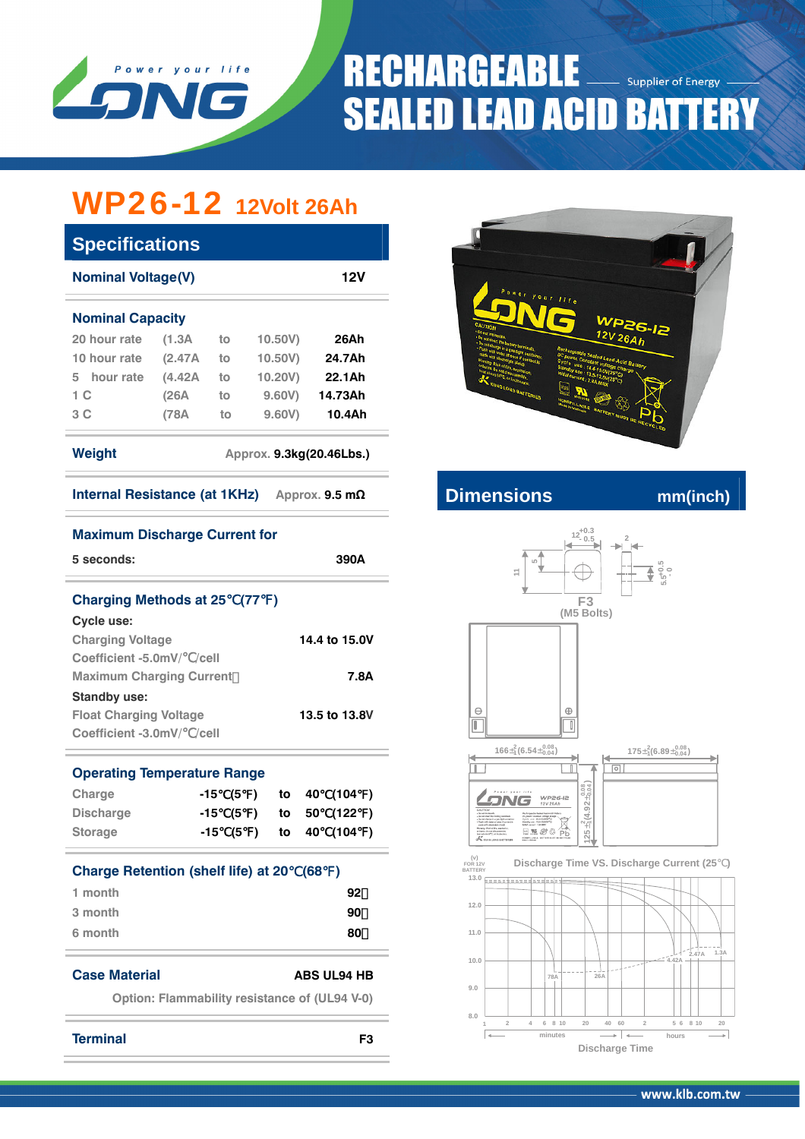

## **RECHARGEABLE** Supplier of Energy **SEALED LEAD ACID BATTERY**

# WP26-12 **12Volt 26Ah**

| <b>Specifications</b>                           |         |    |         |         |  |  |  |  |  |
|-------------------------------------------------|---------|----|---------|---------|--|--|--|--|--|
| <b>Nominal Voltage(V)</b><br>12V                |         |    |         |         |  |  |  |  |  |
| <b>Nominal Capacity</b>                         |         |    |         |         |  |  |  |  |  |
| 20 hour rate                                    | (1.3A   | to | 10.50V) | 26Ah    |  |  |  |  |  |
| 10 hour rate                                    | (2.47A) | to | 10.50V) | 24.7Ah  |  |  |  |  |  |
| hour rate<br>5.                                 | (4.42A) | to | 10.20V) | 22.1Ah  |  |  |  |  |  |
| 1 <sup>C</sup>                                  | (26A    | to | 9.60V   | 14.73Ah |  |  |  |  |  |
| 3 C                                             | (78A    | to | 9.60V   | 10.4Ah  |  |  |  |  |  |
| Weight<br>Approx. 9.3kg(20.46Lbs.)              |         |    |         |         |  |  |  |  |  |
| Internal Resistance (at 1KHz)<br>Approx. 9.5 mΩ |         |    |         |         |  |  |  |  |  |

**5 seconds: 390A**

**Charging Voltage 14.4 to 15.0V** 

**Maximum Charging Current**: **7.8A**

**Float Charging Voltage 13.5 to 13.8V** 



### **Internal Resistance (at 1THz) A**  $\mathbf{m}$  multimetring mm(inch)



### **1 2 4 6 8 10 20 40 60 2 5 6 8 10 20 8.0 9.0 minutes hours Discharge Time 78A 26A 4.42A 2.47A 1.3A**

**Operating Temperature Range Charge -15**℃**(5**℉**) to 40**℃**(104**℉**)**

**Coefficient -5.0mV/**℃**/cell** 

**Coefficient -3.0mV/**℃**/cell** 

**Maximum Discharge Current for** 

**Charging Methods at 25 (77)** 

**Cycle use:** 

**Standby use:** 

| <b>Storage</b>   |  |  | -15 (5 ) to 40 (104 )    |  |
|------------------|--|--|--------------------------|--|
| <b>Discharge</b> |  |  | -15 (5) to 50 (122)      |  |
| <b>CHAIGE</b>    |  |  | ן ודיטון שוד שו ן שן טו- |  |

| Charge Retention (shelf life) at 20 (68) |    |
|------------------------------------------|----|
| 1 month                                  | 92 |
| 3 month                                  | 90 |
| 6 month                                  | 80 |

### **Case Material ABS UL94 HB**

**Option: Flammability resistance of (UL94 V-0)** 

**Terminal F3**